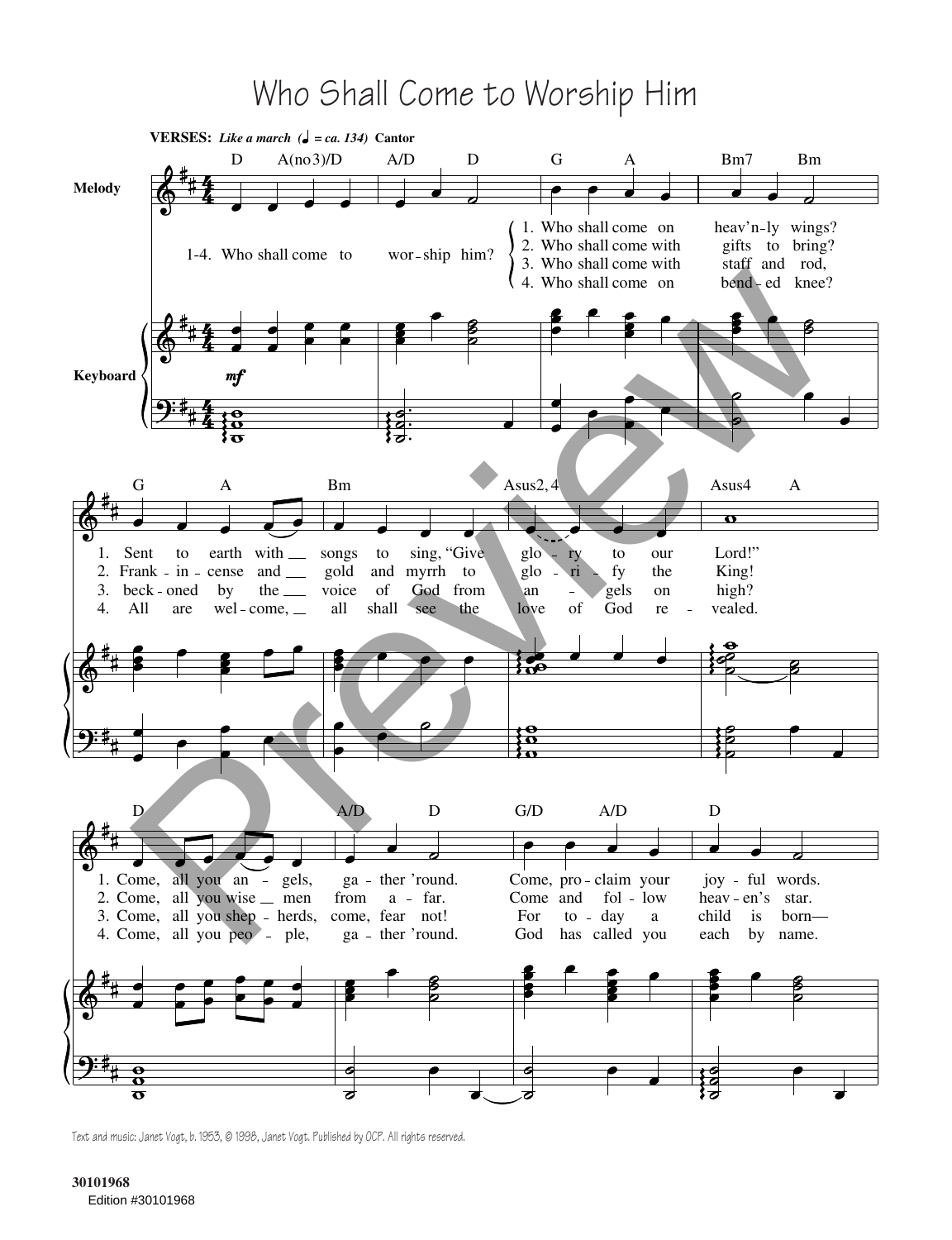## Who Shall Come to Worship Him



Text and music: Janet Vogt, b. 1953, @ 1998, Janet Vogt. Published by OCP. All rights reserved.